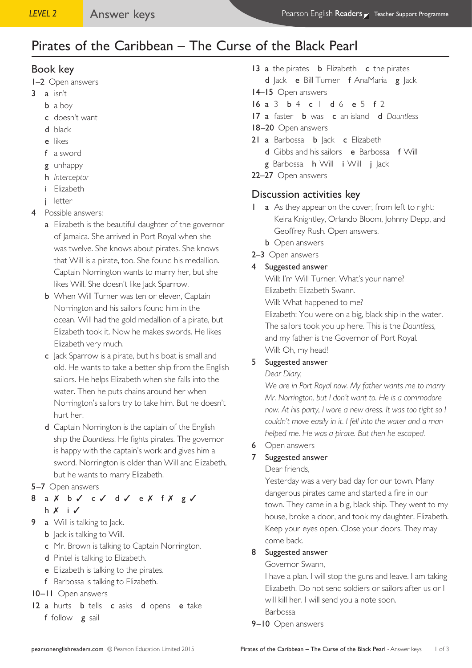# Pirates of the Caribbean – The Curse of the Black Pearl

## Book key

- 1–2 Open answers
- $3$  a isn't
	- b a boy
	- c doesn't want
	- d black
	- e likes
	- f a sword
	- g unhappy
	- h *Interceptor*
	- i Elizabeth
	- j letter
- 4 Possible answers:
	- a Elizabeth is the beautiful daughter of the governor of Jamaica. She arrived in Port Royal when she was twelve. She knows about pirates. She knows that Will is a pirate, too. She found his medallion. Captain Norrington wants to marry her, but she likes Will. She doesn't like Jack Sparrow.
	- **b** When Will Turner was ten or eleven, Captain Norrington and his sailors found him in the ocean. Will had the gold medallion of a pirate, but Elizabeth took it. Now he makes swords. He likes Elizabeth very much.
	- c Jack Sparrow is a pirate, but his boat is small and old. He wants to take a better ship from the English sailors. He helps Elizabeth when she falls into the water. Then he puts chains around her when Norrington's sailors try to take him. But he doesn't hurt her.
	- d Captain Norrington is the captain of the English ship the *Dauntless*. He fights pirates. The governor is happy with the captain's work and gives him a sword. Norrington is older than Will and Elizabeth, but he wants to marry Elizabeth.
- 5–7 Open answers
- 8 a X b √ c √ d √ e X f X g √ h ✗ i ✓
- 9 a Will is talking to Jack.
	- **b** Jack is talking to Will.
	- c Mr. Brown is talking to Captain Norrington.
	- d Pintel is talking to Elizabeth.
	- e Elizabeth is talking to the pirates.
	- f Barbossa is talking to Elizabeth.
- 10–11 Open answers
- 12 a hurts **b** tells **c** asks **d** opens **e** take f follow g sail
- 13 a the pirates **b** Elizabeth **c** the pirates d Jack e Bill Turner f AnaMaria g Jack
- 14–15 Open answers
- 16 a 3 b 4 c 1 d 6 e 5 f 2
- 17 a faster b was c an island d *Dauntless*
- 18-20 Open answers
- 21 a Barbossa **b** Jack **c** Elizabeth
	- d Gibbs and his sailors e Barbossa f Will
	- g Barbossa h Will i Will j Jack
- 22–27 Open answers

## Discussion activities key

- 1 **a** As they appear on the cover, from left to right: Keira Knightley, Orlando Bloom, Johnny Depp, and Geoffrey Rush. Open answers.
	- **b** Open answers
- 2–3 Open answers
- 4 Suggested answer

Will: I'm Will Turner. What's your name? Elizabeth: Elizabeth Swann. Will: What happened to me? Elizabeth: You were on a big, black ship in the water. The sailors took you up here. This is the *Dauntless,* and my father is the Governor of Port Royal. Will: Oh, my head!

## 5 Suggested answer

#### *Dear Diary,*

*We are in Port Royal now. My father wants me to marry Mr. Norrington, but I don't want to. He is a commodore*  now. At his party, I wore a new dress. It was too tight so I *couldn't move easily in it. I fell into the water and a man helped me. He was a pirate. But then he escaped.* 

#### 6 Open answers

## 7 Suggested answer

Dear friends,

Yesterday was a very bad day for our town. Many dangerous pirates came and started a fire in our town. They came in a big, black ship. They went to my house, broke a door, and took my daughter, Elizabeth. Keep your eyes open. Close your doors. They may come back*.* 

#### 8 Suggested answer

Governor Swann,

I have a plan. I will stop the guns and leave. I am taking Elizabeth. Do not send soldiers or sailors after us or I will kill her. I will send you a note soon.

Barbossa

#### 9-10 Open answers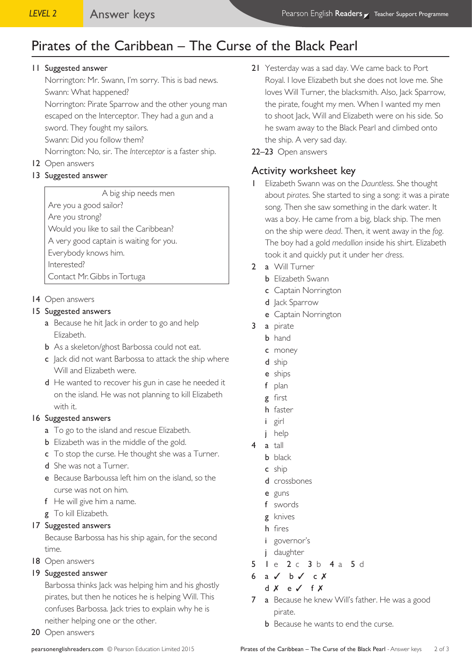# Pirates of the Caribbean – The Curse of the Black Pearl

#### 11 Suggested answer

Norrington: Mr. Swann, I'm sorry. This is bad news. Swann: What happened?

Norrington: Pirate Sparrow and the other young man escaped on the Interceptor. They had a gun and a

sword. They fought my sailors.

Swann: Did you follow them?

- Norrington: No, sir. The *Interceptor* is a faster ship.
- 12 Open answers

## 13 Suggested answer

A big ship needs men Are you a good sailor? Are you strong? Would you like to sail the Caribbean? A very good captain is waiting for you. Everybody knows him. Interested?

Contact Mr. Gibbs in Tortuga

## 14 Open answers

## 15 Suggested answers

- a Because he hit Jack in order to go and help Elizabeth.
- **b** As a skeleton/ghost Barbossa could not eat.
- c Jack did not want Barbossa to attack the ship where Will and Elizabeth were.
- d He wanted to recover his gun in case he needed it on the island. He was not planning to kill Elizabeth with it.

## 16 Suggested answers

- a To go to the island and rescue Elizabeth.
- **b** Elizabeth was in the middle of the gold.
- c To stop the curse. He thought she was a Turner.
- d She was not a Turner.
- e Because Barboussa left him on the island, so the curse was not on him.
- f He will give him a name.
- g To kill Elizabeth.

## 17 Suggested answers

Because Barbossa has his ship again, for the second time.

18 Open answers

## 19 Suggested answer

Barbossa thinks Jack was helping him and his ghostly pirates, but then he notices he is helping Will. This confuses Barbossa. Jack tries to explain why he is neither helping one or the other.

20 Open answers

- 21 Yesterday was a sad day. We came back to Port Royal. I love Elizabeth but she does not love me. She loves Will Turner, the blacksmith. Also, Jack Sparrow, the pirate, fought my men. When I wanted my men to shoot Jack, Will and Elizabeth were on his side. So he swam away to the Black Pearl and climbed onto the ship. A very sad day.
- 22–23 Open answers

## Activity worksheet key

- 1 Elizabeth Swann was on the *Dauntless*. She thought about *pirates*. She started to sing a song: it was a pirate song. Then she saw something in the dark water. It was a boy. He came from a big, black ship. The men on the ship were *dead*. Then, it went away in the *fog*. The boy had a gold *medallion* inside his shirt. Elizabeth took it and quickly put it under her *dress*.
- 2 a Will Turner
	- **b** Elizabeth Swann
	- c Captain Norrington
	- d Jack Sparrow
	- e Captain Norrington
- 3 a pirate
	- b hand
	- c money
	- d ship
	- e ships
	- f plan
	- g first
	- h faster
	- i girl
	- j help
- 4 a tall
	- **b** black
	- c ship
	- d crossbones
	- e guns
	- f swords
	- g knives
	- h fires
	- i governor's
	- j daughter
- 5 1 e 2 c 3 b 4 a 5 d
- 6 a  $\checkmark$  b  $\checkmark$  c  $\checkmark$ 
	- d ✗ e ✓ f ✗
- 7 a Because he knew Will's father. He was a good pirate.
	- **b** Because he wants to end the curse.